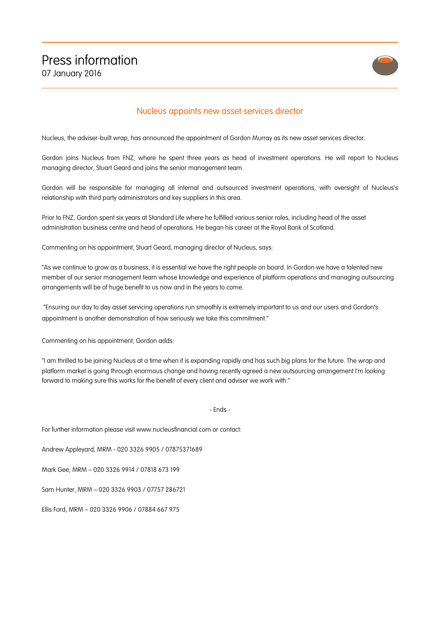

## Nucleus appoints new asset services director

Nucleus, the adviser-built wrap, has announced the appointment of Gordon Murray as its new asset services director.

Gordon joins Nucleus from FNZ, where he spent three years as head of investment operations. He will report to Nucleus managing director, Stuart Geard and joins the senior management team.

Gordon will be responsible for managing all internal and outsourced investment operations, with oversight of Nucleus's relationship with third party administrators and key suppliers in this area.

Prior to FNZ, Gordon spent six years at Standard Life where he fulfilled various senior roles, including head of the asset administration business centre and head of operations. He began his career at the Royal Bank of Scotland.

Commenting on his appointment, Stuart Geard, managing director of Nucleus, says:

"As we continue to grow as a business, it is essential we have the right people on board. In Gordon we have a talented new member of our senior management team whose knowledge and experience of platform operations and managing outsourcing arrangements will be of huge benefit to us now and in the years to come.

"Ensuring our day to day asset servicing operations run smoothly is extremely important to us and our users and Gordon's appointment is another demonstration of how seriously we take this commitment."

Commenting on his appointment, Gordon adds:

"I am thrilled to be joining Nucleus at a time when it is expanding rapidly and has such big plans for the future. The wrap and platform market is going through enormous change and having recently agreed a new outsourcing arrangement I'm looking forward to making sure this works for the benefit of every client and adviser we work with."

- Ends -

For further information please visit www.nucleusfinancial.com or contact:

Andrew Appleyard, MRM - 020 3326 9905 / 07875371689

Mark Gee, MRM – 020 3326 9914 / 07818 673 199

Sam Hunter, MRM – 020 3326 9903 / 07757 286721

Ellis Ford, MRM – 020 3326 9906 / 07884 667 975